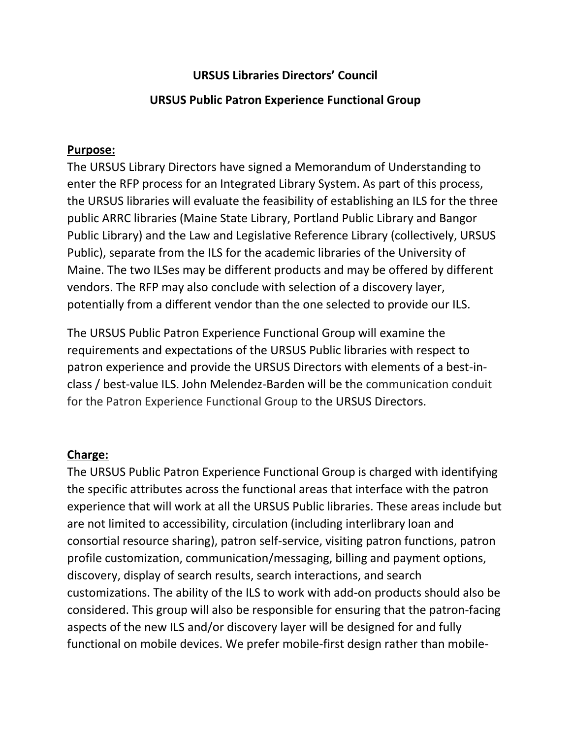# **URSUS Libraries Directors' Council**

### **URSUS Public Patron Experience Functional Group**

#### **Purpose:**

The URSUS Library Directors have signed a Memorandum of Understanding to enter the RFP process for an Integrated Library System. As part of this process, the URSUS libraries will evaluate the feasibility of establishing an ILS for the three public ARRC libraries (Maine State Library, Portland Public Library and Bangor Public Library) and the Law and Legislative Reference Library (collectively, URSUS Public), separate from the ILS for the academic libraries of the University of Maine. The two ILSes may be different products and may be offered by different vendors. The RFP may also conclude with selection of a discovery layer, potentially from a different vendor than the one selected to provide our ILS.

The URSUS Public Patron Experience Functional Group will examine the requirements and expectations of the URSUS Public libraries with respect to patron experience and provide the URSUS Directors with elements of a best-inclass / best-value ILS. John Melendez-Barden will be the communication conduit for the Patron Experience Functional Group to the URSUS Directors.

## **Charge:**

The URSUS Public Patron Experience Functional Group is charged with identifying the specific attributes across the functional areas that interface with the patron experience that will work at all the URSUS Public libraries. These areas include but are not limited to accessibility, circulation (including interlibrary loan and consortial resource sharing), patron self-service, visiting patron functions, patron profile customization, communication/messaging, billing and payment options, discovery, display of search results, search interactions, and search customizations. The ability of the ILS to work with add-on products should also be considered. This group will also be responsible for ensuring that the patron-facing aspects of the new ILS and/or discovery layer will be designed for and fully functional on mobile devices. We prefer mobile-first design rather than mobile